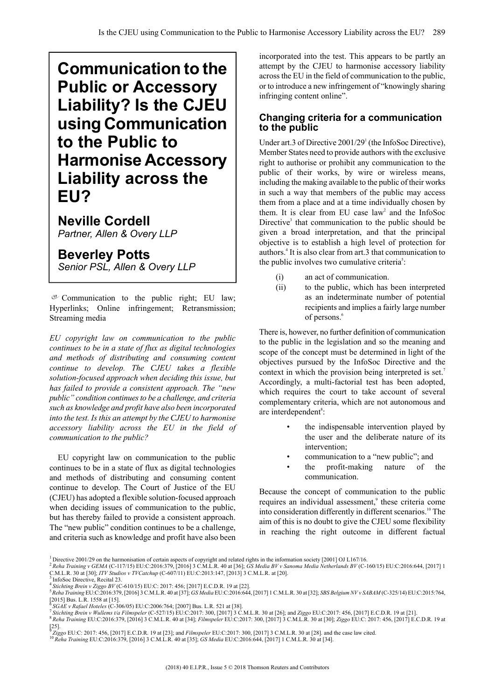# **Communication to the Public or Accessory Liability? Is the CJEU using Communication to the Public to Harmonise Accessory Liability across the EU?**

**Neville Cordell** *Partner, Allen & Overy LLP*

**Beverley Potts** *Senior PSL, Allen & Overy LLP*

 $C$  Communication to the public right; EU law; Hyperlinks; Online infringement; Retransmission; Streaming media

*EU copyright law on communication to the public continues to be in a state of flux as digital technologies and methods of distributing and consuming content continue to develop. The CJEU takes a flexible solution-focused approach when deciding this issue, but has failed to provide a consistent approach. The "new public"condition continuesto be a challenge, and criteria such as knowledge and profit have also been incorporated into the test. Is this an attempt by the CJEU to harmonise accessory liability across the EU in the field of communication to the public?*

EU copyright law on communication to the public continues to be in a state of flux as digital technologies and methods of distributing and consuming content continue to develop. The Court of Justice of the EU (CJEU) has adopted a flexible solution-focused approach when deciding issues of communication to the public, but has thereby failed to provide a consistent approach. The "new public" condition continues to be a challenge, and criteria such as knowledge and profit have also been incorporated into the test. This appears to be partly an attempt by the CJEU to harmonise accessory liability acrossthe EU in the field of communication to the public, or to introduce a new infringement of "knowingly sharing infringing content online".

## **Changing criteria for a communication to the public**

Under art.3 of Directive 2001/29<sup>1</sup> (the InfoSoc Directive), Member States need to provide authors with the exclusive right to authorise or prohibit any communication to the public of their works, by wire or wireless means, including the making available to the public of their works in such a way that members of the public may access them from a place and at a time individually chosen by them. It is clear from EU case  $law<sup>2</sup>$  and the InfoSoc Directive<sup>3</sup> that communication to the public should be given a broad interpretation, and that the principal objective is to establish a high level of protection for authors.<sup>4</sup> It is also clear from art.3 that communication to the public involves two cumulative criteria<sup>5</sup>:

- (i) an act of communication.
- (ii) to the public, which has been interpreted as an indeterminate number of potential recipients and implies a fairly large number of persons.<sup>6</sup>

There is, however, no further definition of communication to the public in the legislation and so the meaning and scope of the concept must be determined in light of the objectives pursued by the InfoSoc Directive and the context in which the provision being interpreted is set.<sup>7</sup> Accordingly, a multi-factorial test has been adopted, which requires the court to take account of several complementary criteria, which are not autonomous and are interdependent<sup>8</sup>:

- the indispensable intervention played by the user and the deliberate nature of its intervention;
- communication to a "new public"; and
- the profit-making nature of the communication.

Because the concept of communication to the public requires an individual assessment,<sup>9</sup> these criteria come into consideration differently in different scenarios.<sup>10</sup> The aim of this is no doubt to give the CJEU some flexibility in reaching the right outcome in different factual

[25]. 9 *Ziggo* EU:C: 2017: 456, [2017] E.C.D.R. 19 at [23]; and *Filmspeler* EU:C:2017: 300, [2017] 3 C.M.L.R. 30 at [28]. and the case law cited.

<sup>1</sup> Directive 2001/29 on the harmonisation of certain aspects of copyright and related rights in the information society [2001] OJ L167/16.

<sup>&</sup>lt;sup>2</sup> Reha Training v GEMA (C-117/15) EU:C:2016:379, [2016] 3 C.M.L.R. 40 at [36]; GS Media BV v Sanoma Media Netherlands BV (C-160/15) EU:C:2016:644, [2017] 1 C.M.L.R. 30 at [30]; *ITV Studios v TVCatchup* (C-607/11) EU:C:2013:147, [2013] 3 C.M.L.R. at [20]. 3

InfoSoc Directive, Recital 23.

<sup>&</sup>lt;sup>4</sup> Stichting Brein v Żiggo BV (C-610/15) EU:C: 2017: 456; [2017] E.C.D.R. 19 at [22].<br><sup>5</sup> Reha Training EU:C:2016:379, [2016] 3 C.M.L.R. 40 at [37]; *GS Media* EU:C:2016:644, [2017] 1 C.M.L.R. 30 at [32]; *SBS Belgium NV* 

 $[2015]$  Bus. L.R. 1558 at [15].

<sup>&</sup>lt;sup>6</sup> SGAE v Rafael Hoteles (C-306/05) EU:C:2006:764; [2007] Bus. L.R. 521 at [38].<br><sup>7</sup> Stichting Brein v Wullems t/a Filmspeler (C-527/15) EU:C:2017: 300, [2017] 3 C.M.L.R. 30 at [26]; and Ziggo EU:C:2017: 456, [2017] E.C.D <sup>8</sup> *Reha Training* EU:C:2016:379, [2016] 3 C.M.L.R. 40 at [34]; *Filmspeler* EU:C:2017: 300, [2017] 3 C.M.L.R. 30 at [30]; *Ziggo* EU:C: 2017: 456, [2017] E.C.D.R. 19 at

<sup>10</sup> *Reha Training* EU:C:2016:379, [2016] 3 C.M.L.R. 40 at [35]; *GS Media* EU:C:2016:644, [2017] 1 C.M.L.R. 30 at [34].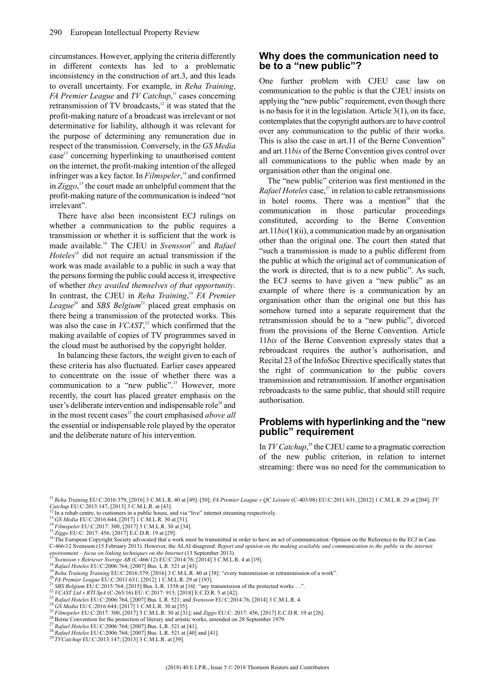circumstances. However, applying the criteria differently in different contexts has led to a problematic inconsistency in the construction of art.3, and this leads to overall uncertainty. For example, in *Reha Training*, *FA Premier League* and *TV Catchup*, 11 cases concerning retransmission of TV broadcasts, $12$  it was stated that the profit-making nature of a broadcast was irrelevant or not determinative for liability, although it was relevant for the purpose of determining any remuneration due in respect of the transmission. Conversely, in the *GS Media* case<sup>13</sup> concerning hyperlinking to unauthorised content on the internet, the profit-making intention of the alleged infringer was a key factor. In *Filmspeler*, <sup>14</sup> and confirmed in *Ziggo*, <sup>15</sup> the court made an unhelpful comment that the profit-making nature of the communication is indeed "not irrelevant".

There have also been inconsistent ECJ rulings on whether a communication to the public requires a transmission or whether it is sufficient that the work is made available.<sup>16</sup> The CJEU in *Svensson*<sup>17</sup> and *Rafael* Hoteles<sup>18</sup> did not require an actual transmission if the work was made available to a public in such a way that the persons forming the public could access it, irrespective of whether *they availed themselves of that opportunity*. In contrast, the CJEU in *Reha Training*, <sup>19</sup> *FA Premier* League<sup>20</sup> and *SBS Belgium*<sup>21</sup> placed great emphasis on there being a transmission of the protected works. This was also the case in *VCAST*<sup>22</sup>, which confirmed that the making available of copies of TV programmes saved in the cloud must be authorised by the copyright holder.

In balancing these factors, the weight given to each of these criteria has also fluctuated. Earlier cases appeared to concentrate on the issue of whether there was a communication to a "new public".<sup>23</sup> However, more recently, the court has placed greater emphasis on the user's deliberate intervention and indispensable role<sup>24</sup> and in the most recent cases<sup>25</sup> the court emphasised *above all* the essential or indispensable role played by the operator and the deliberate nature of his intervention.

#### **Why does the communication need to be to a "new public"?**

One further problem with CJEU case law on communication to the public is that the CJEU insists on applying the "new public" requirement, even though there is no basis for it in the legislation. Article  $3(1)$ , on its face, contemplates that the copyright authors are to have control over any communication to the public of their works. This is also the case in art.11 of the Berne Convention<sup>26</sup> and art.11*bis* of the Berne Convention gives control over all communications to the public when made by an organisation other than the original one.

The "new public" criterion was first mentioned in the *Rafael Hoteles* case,<sup>27</sup> in relation to cable retransmissions in hotel rooms. There was a mention<sup>28</sup> that the communication in those particular proceedings constituted, according to the Berne Convention art.11*bis*(1)(ii), a communication made by an organisation other than the original one. The court then stated that "such a transmission is made to a public different from the public at which the original act of communication of the work is directed, that is to a new public". As such, the ECJ seems to have given a "new public" as an example of where there is a communication by an organisation other than the original one but this has somehow turned into a separate requirement that the retransmission should be to a "new public", divorced from the provisions of the Berne Convention. Article 11*bis* of the Berne Convention expressly states that a rebroadcast requires the author's authorisation, and Recital 23 of the InfoSoc Directive specifically states that the right of communication to the public covers transmission and retransmission. If another organisation rebroadcasts to the same public, that should still require authorisation.

### **Problems with hyperlinking and the "new public" requirement**

In*TV Catchup*, <sup>29</sup> the CJEU came to a pragmatic correction of the new public criterion, in relation to internet streaming: there was no need for the communication to

- <sup>14</sup> *Filmspeler* EU:C:2017: 300, [2017] 3 C.M.L.R. 30 at [34].
- <sup>15</sup> *Ziggo* EU:C: 2017: 456; [2017] E.C.D.R. 19 at [29].

<sup>18</sup> *Rafael Hoteles* EU:C:2006:764; [2007] Bus. L.R. 521 at [43].

- <sup>20</sup> *FA Premier League* EU:C:2011:631; [2012] 1 C.M.L.R. 29 at [193].
- <sup>21</sup> *SBS Belgium* EU:C:2015:764; [2015] Bus. L.R. 1558 at [16[: "any transmission of the protected works …". <sup>22</sup> *VCAST Ltd v RTI SpA* (C-265/16) EU: C:2017: 913; [2018] E.C.D.R. 5 at [42].
- <sup>23</sup> *Rafael Hoteles* EU:C:2006:764, [2007] Bus. L.R. 521; and *Svensson* EU:C:2014:76, [2014] 3 C.M.L.R. 4.
- <sup>24</sup> *GS Media* EU:C:2016:644; [2017] 1 C.M.L.R. 30 at [35].
- <sup>25</sup> *Filmspeler* EU:C:2017: 300, [2017] 3 C.M.L.R. 30 at [31]; and *Ziggo* EU:C: 2017: 456, [2017] E.C.D.R. 19 at [26].
- <sup>26</sup> Berne Convention for the protection of literary and artistic works, amended on 28 September 1979.
- <sup>27</sup> *Rafael Hoteles* EU:C:2006:764; [2007] Bus. L.R. 521 at [41].
- <sup>28</sup> *Rafael Hoteles* EU:C:2006:764; [2007] Bus. L.R. 521 at [40] and [41].

<sup>11</sup> *Reha Training* EU:C:2016:379, [2016] 3 C.M.L.R. 40 at [49]–[50]; *FA Premier League v QC Leisure* (C-403/08) EU:C:2011:631, [2012] 1 C.M.L.R. 29 at [204]; *TV Catchup* EU:C:2013:147, [2013] 3 C.M.L.R. at [43].

<sup>12</sup> In a rehab centre, to customers in a public house, and via "live" internet streaming respectively.

<sup>13</sup> *GS Media* EU:C:2016:644, [2017] 1 C.M.L.R. 30 at [51].

<sup>&</sup>lt;sup>16</sup> The European Copyright Society advocated that a work must be transmitted in order to have an act of communication: Opinion on the Reference to the ECJ in Case C-466/12 Svensson (15 February 2013). However, the ALAI disagreed: Report and opinion on the making available and communication to the public in the internet *environment* – *focus on linking techniques on the Internet* (13 September 2013).<br><sup>17</sup> Sygnesian *D striction S* 

<sup>17</sup> *Svensson v Retriever Sverige AB* (C-466/12) EU:C:2014:76; [2014] 3 C.M.L.R. 4 at [19].

<sup>19</sup> *Reha Training Training* EU:C:2016:379; [2016] 3 C.M.L.R. 40 at [38]: "every transmission or retransmission of a work".

<sup>29</sup> *TVCatchup* EU:C:2013:147; [2013] 3 C.M.L.R. at [39].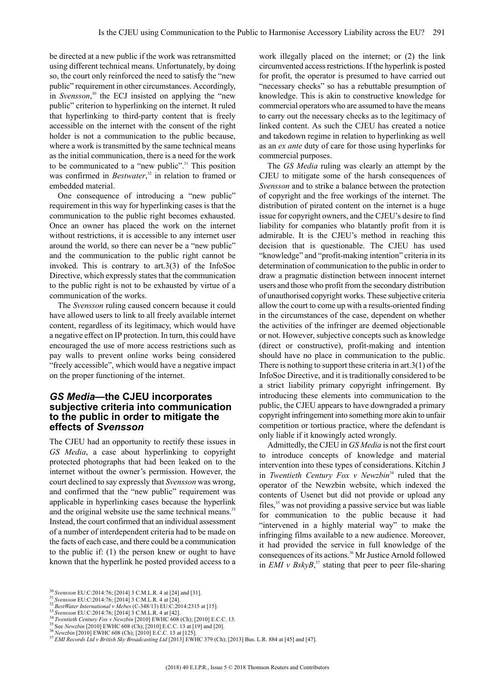be directed at a new public if the work was retransmitted using different technical means. Unfortunately, by doing so, the court only reinforced the need to satisfy the "new public" requirement in other circumstances. Accordingly, in *Svensson*,<sup>30</sup> the ECJ insisted on applying the "new public" criterion to hyperlinking on the internet. It ruled that hyperlinking to third-party content that is freely accessible on the internet with the consent of the right holder is not a communication to the public because, where a work is transmitted by the same technical means as the initial communication, there is a need for the work to be communicated to a "new public".<sup>31</sup> This position was confirmed in *Bestwater*, <sup>32</sup> in relation to framed or embedded material.

One consequence of introducing a "new public" requirement in this way for hyperlinking cases is that the communication to the public right becomes exhausted. Once an owner has placed the work on the internet without restrictions, it is accessible to any internet user around the world, so there can never be a "new public" and the communication to the public right cannot be invoked. This is contrary to art.3(3) of the InfoSoc Directive, which expressly states that the communication to the public right is not to be exhausted by virtue of a communication of the works.

The *Svensson* ruling caused concern because it could have allowed users to link to all freely available internet content, regardless of its legitimacy, which would have a negative effect on IP protection. In turn, this could have encouraged the use of more access restrictions such as pay walls to prevent online works being considered "freely accessible", which would have a negative impact on the proper functioning of the internet.

### *GS Media***—the CJEU incorporates subjective criteria into communication to the public in order to mitigate the effects of** *Svensson*

The CJEU had an opportunity to rectify these issues in *GS Media*, a case about hyperlinking to copyright protected photographs that had been leaked on to the internet without the owner's permission. However, the court declined to say expressly that *Svensson* was wrong, and confirmed that the "new public" requirement was applicable in hyperlinking cases because the hyperlink and the original website use the same technical means.<sup>33</sup> Instead, the court confirmed that an individual assessment of a number of interdependent criteria had to be made on the facts of each case, and there could be a communication to the public if: (1) the person knew or ought to have known that the hyperlink he posted provided access to a

work illegally placed on the internet; or (2) the link circumvented access restrictions. If the hyperlink is posted for profit, the operator is presumed to have carried out "necessary checks" so has a rebuttable presumption of knowledge. This is akin to constructive knowledge for commercial operators who are assumed to have the means to carry out the necessary checks as to the legitimacy of linked content. As such the CJEU has created a notice and takedown regime in relation to hyperlinking as well as an *ex ante* duty of care for those using hyperlinks for commercial purposes.

The *GS Media* ruling was clearly an attempt by the CJEU to mitigate some of the harsh consequences of *Svensson* and to strike a balance between the protection of copyright and the free workings of the internet. The distribution of pirated content on the internet is a huge issue for copyright owners, and the CJEU's desire to find liability for companies who blatantly profit from it is admirable. It is the CJEU's method in reaching this decision that is questionable. The CJEU has used "knowledge" and "profit-making intention" criteria in its determination of communication to the public in order to draw a pragmatic distinction between innocent internet users and those who profit from the secondary distribution of unauthorised copyright works. These subjective criteria allow the court to come up with a results-oriented finding in the circumstances of the case, dependent on whether the activities of the infringer are deemed objectionable or not. However, subjective concepts such as knowledge (direct or constructive), profit-making and intention should have no place in communication to the public. There is nothing to support these criteria in art.  $3(1)$  of the InfoSoc Directive, and it is traditionally considered to be a strict liability primary copyright infringement. By introducing these elements into communication to the public, the CJEU appears to have downgraded a primary copyright infringement into something more akin to unfair competition or tortious practice, where the defendant is only liable if it knowingly acted wrongly.

Admittedly, the CJEU in *GS Media* is not the first court to introduce concepts of knowledge and material intervention into these types of considerations. Kitchin J in *Twentieth Century Fox v Newzbin*<sup>34</sup> ruled that the operator of the Newzbin website, which indexed the contents of Usenet but did not provide or upload any files,<sup>35</sup> was not providing a passive service but was liable for communication to the public because it had "intervened in a highly material way" to make the infringing films available to a new audience. Moreover, it had provided the service in full knowledge of the consequences of its actions.<sup>36</sup> Mr Justice Arnold followed in *EMI*  $v$  *BskyB*<sup>37</sup>, stating that peer to peer file-sharing

<sup>30</sup> *Svensson* EU:C:2014:76; [2014] 3 C.M.L.R. 4 at [24] and [31].

<sup>31</sup> *Svensson* EU:C:2014:76; [2014] 3 C.M.L.R. 4 at [24].

<sup>32</sup> *BestWater International v Mebes* (C-348/13) EU:C:2014:2315 at [15].

<sup>33</sup> *Svensson* EU:C:2014:76; [2014] 3 C.M.L.R. 4 at [42].

<sup>34</sup> *Twentieth Century Fox v Newzbin* [2010] EWHC 608 (Ch); [2010] E.C.C. 13.

<sup>35</sup> See *Newzbin* [2010] EWHC 608 (Ch); [2010] E.C.C. 13 at [19] and [20].

<sup>36</sup> *Newzbin* [2010] EWHC 608 (Ch); [2010] E.C.C. 13 at [125].

<sup>37</sup> *EMI Records Ltd v British Sky Broadcasting Ltd* [2013] EWHC 379 (Ch); [2013] Bus. L.R. 884 at [45] and [47].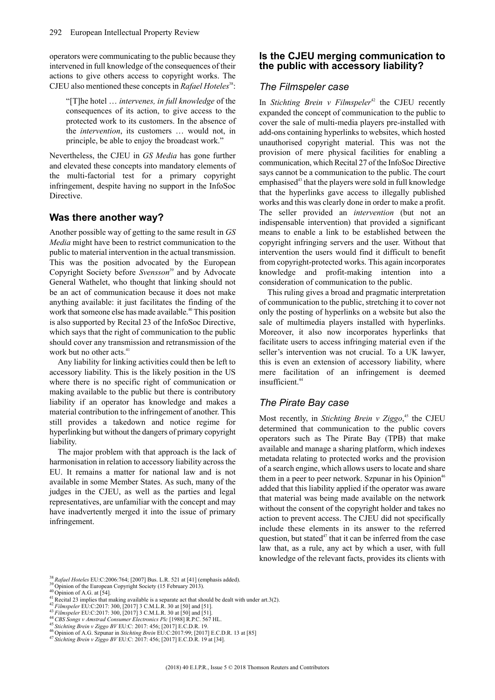operators were communicating to the public because they intervened in full knowledge of the consequences of their actions to give others access to copyright works. The CJEU also mentioned these concepts in *Rafael Hoteles*<sup>38</sup>:

"[T]he hotel … *intervenes, in full knowledge* of the consequences of its action, to give access to the protected work to its customers. In the absence of the *intervention*, its customers … would not, in principle, be able to enjoy the broadcast work."

Nevertheless, the CJEU in *GS Media* has gone further and elevated these concepts into mandatory elements of the multi-factorial test for a primary copyright infringement, despite having no support in the InfoSoc Directive.

## **Was there another way?**

Another possible way of getting to the same result in *GS Media* might have been to restrict communication to the public to material intervention in the actual transmission. This was the position advocated by the European Copyright Society before *Svensson*<sup>39</sup> and by Advocate General Wathelet, who thought that linking should not be an act of communication because it does not make anything available: it just facilitates the finding of the work that someone else has made available.<sup>40</sup> This position is also supported by Recital 23 of the InfoSoc Directive, which says that the right of communication to the public should cover any transmission and retransmission of the work but no other acts.<sup>41</sup>

Any liability for linking activities could then be left to accessory liability. This is the likely position in the US where there is no specific right of communication or making available to the public but there is contributory liability if an operator has knowledge and makes a material contribution to the infringement of another. This still provides a takedown and notice regime for hyperlinking but without the dangers of primary copyright liability.

The major problem with that approach is the lack of harmonisation in relation to accessory liability across the EU. It remains a matter for national law and is not available in some Member States. As such, many of the judges in the CJEU, as well as the parties and legal representatives, are unfamiliar with the concept and may have inadvertently merged it into the issue of primary infringement.

## **Is the CJEU merging communication to the public with accessory liability?**

#### *The Filmspeler case*

In *Stichting Brein v Filmspeler<sup>42</sup>* the CJEU recently expanded the concept of communication to the public to cover the sale of multi-media players pre-installed with add-ons containing hyperlinks to websites, which hosted unauthorised copyright material. This was not the provision of mere physical facilities for enabling a communication, which Recital 27 of the InfoSoc Directive says cannot be a communication to the public. The court emphasised $43$  that the players were sold in full knowledge that the hyperlinks gave access to illegally published works and this was clearly done in order to make a profit. The seller provided an *intervention* (but not an indispensable intervention) that provided a significant means to enable a link to be established between the copyright infringing servers and the user. Without that intervention the users would find it difficult to benefit from copyright-protected works. This again incorporates knowledge and profit-making intention into consideration of communication to the public.

This ruling gives a broad and pragmatic interpretation of communication to the public, stretching it to cover not only the posting of hyperlinks on a website but also the sale of multimedia players installed with hyperlinks. Moreover, it also now incorporates hyperlinks that facilitate users to access infringing material even if the seller's intervention was not crucial. To a UK lawyer, this is even an extension of accessory liability, where mere facilitation of an infringement is deemed insufficient.<sup>44</sup>

## *The Pirate Bay case*

Most recently, in *Stichting Brein v Ziggo*, <sup>45</sup> the CJEU determined that communication to the public covers operators such as The Pirate Bay (TPB) that make available and manage a sharing platform, which indexes metadata relating to protected works and the provision of a search engine, which allows users to locate and share them in a peer to peer network. Szpunar in his Opinion<sup>46</sup> added that this liability applied if the operator was aware that material was being made available on the network without the consent of the copyright holder and takes no action to prevent access. The CJEU did not specifically include these elements in its answer to the referred question, but stated<sup> $47$ </sup> that it can be inferred from the case law that, as a rule, any act by which a user, with full knowledge of the relevant facts, provides its clients with

<sup>38</sup> *Rafael Hoteles* EU:C:2006:764; [2007] Bus. L.R. 521 at [41] (emphasis added).

<sup>&</sup>lt;sup>39</sup> Opinion of the European Copyright Society (15 February 2013).

 $40$  Opinion of A.G. at [54].

 $4<sup>4</sup>$  Recital 23 implies that making available is a separate act that should be dealt with under art.3(2).

<sup>42</sup> *Filmspeler* EU:C:2017: 300, [2017] 3 C.M.L.R. 30 at [50] and [51].

*A*<sup>43</sup> *Filmspeler* EU:C:2017: 300, [2017] 3 C.M.L.R. 30 at [50] and [51].

<sup>44</sup> *CBS Songs v Amstrad Consumer Electronics Plc* [1988] R.P.C. 567 HL.

<sup>45</sup> *Stichting Brein v Ziggo BV* EU:C: 2017: 456; [2017] E.C.D.R. 19.

<sup>46</sup> Opinion of A.G. Szpunar in *Stichting Brein* EU:C:2017:99; [2017] E.C.D.R. 13 at [85]

<sup>47</sup> *Stichting Brein v Ziggo BV* EU:C: 2017: 456; [2017] E.C.D.R. 19 at [34].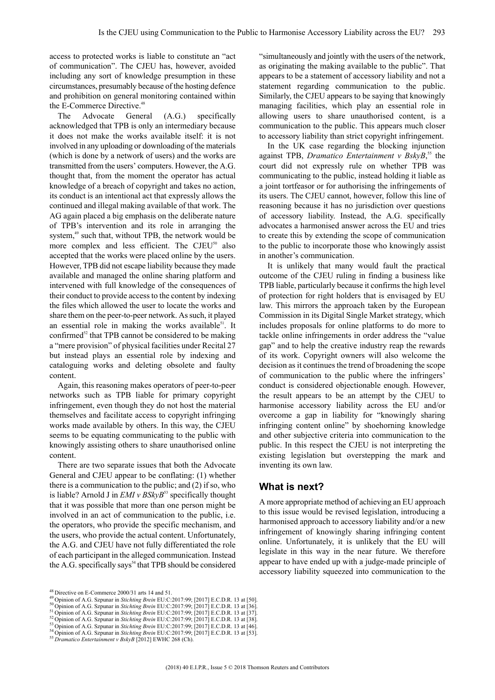access to protected works is liable to constitute an "act of communication". The CJEU has, however, avoided including any sort of knowledge presumption in these circumstances, presumably because of the hosting defence and prohibition on general monitoring contained within the E-Commerce Directive. 48

The Advocate General (A.G.) specifically acknowledged that TPB is only an intermediary because it does not make the works available itself: it is not involved in any uploading or downloading of the materials (which is done by a network of users) and the works are transmitted from the users' computers. However, the A.G. thought that, from the moment the operator has actual knowledge of a breach of copyright and takes no action, its conduct is an intentional act that expressly allows the continued and illegal making available of that work. The AG again placed a big emphasis on the deliberate nature of TPB's intervention and its role in arranging the system,<sup>49</sup> such that, without TPB, the network would be more complex and less efficient. The CJEU<sup>50</sup> also accepted that the works were placed online by the users. However, TPB did not escape liability because they made available and managed the online sharing platform and intervened with full knowledge of the consequences of their conduct to provide access to the content by indexing the files which allowed the user to locate the works and share them on the peer-to-peer network. As such, it played an essential role in making the works available<sup>51</sup>. It confirmed $^{52}$  that TPB cannot be considered to be making a "mere provision" of physical facilities under Recital 27 but instead plays an essential role by indexing and cataloguing works and deleting obsolete and faulty content.

Again, this reasoning makes operators of peer-to-peer networks such as TPB liable for primary copyright infringement, even though they do not host the material themselves and facilitate access to copyright infringing works made available by others. In this way, the CJEU seems to be equating communicating to the public with knowingly assisting others to share unauthorised online content.

There are two separate issues that both the Advocate General and CJEU appear to be conflating: (1) whether there is a communication to the public; and (2) if so, who is liable? Arnold J in *EMI v BSkyB*<sup>53</sup> specifically thought that it was possible that more than one person might be involved in an act of communication to the public, i.e. the operators, who provide the specific mechanism, and the users, who provide the actual content. Unfortunately, the A.G. and CJEU have not fully differentiated the role of each participant in the alleged communication. Instead the A.G. specifically says<sup>54</sup> that TPB should be considered

"simultaneously and jointly with the users of the network, as originating the making available to the public". That appears to be a statement of accessory liability and not a statement regarding communication to the public. Similarly, the CJEU appears to be saying that knowingly managing facilities, which play an essential role in allowing users to share unauthorised content, is a communication to the public. This appears much closer to accessory liability than strict copyright infringement.

In the UK case regarding the blocking injunction against TPB, *Dramatico Entertainment v BskyB*, <sup>55</sup> the court did not expressly rule on whether TPB was communicating to the public, instead holding it liable as a joint tortfeasor or for authorising the infringements of its users. The CJEU cannot, however, follow this line of reasoning because it has no jurisdiction over questions of accessory liability. Instead, the A.G. specifically advocates a harmonised answer across the EU and tries to create this by extending the scope of communication to the public to incorporate those who knowingly assist in another's communication.

It is unlikely that many would fault the practical outcome of the CJEU ruling in finding a business like TPB liable, particularly because it confirms the high level of protection for right holders that is envisaged by EU law. This mirrors the approach taken by the European Commission in its Digital Single Market strategy, which includes proposals for online platforms to do more to tackle online infringements in order address the "value gap" and to help the creative industry reap the rewards of its work. Copyright owners will also welcome the decision as it continues the trend of broadening the scope of communication to the public where the infringers' conduct is considered objectionable enough. However, the result appears to be an attempt by the CJEU to harmonise accessory liability across the EU and/or overcome a gap in liability for "knowingly sharing infringing content online" by shoehorning knowledge and other subjective criteria into communication to the public. In this respect the CJEU is not interpreting the existing legislation but overstepping the mark and inventing its own law.

#### **What is next?**

A more appropriate method of achieving an EU approach to this issue would be revised legislation, introducing a harmonised approach to accessory liability and/or a new infringement of knowingly sharing infringing content online. Unfortunately, it is unlikely that the EU will legislate in this way in the near future. We therefore appear to have ended up with a judge-made principle of accessory liability squeezed into communication to the

<sup>49</sup> Opinion of A.G. Szpunar in *Stichting Brein* EU:C:2017:99; [2017] E.C.D.R. 13 at [50].

<sup>52</sup> Opinion of A.G. Szpunar in *Stichting Brein* EU:C:2017:99; [2017] E.C.D.R. 13 at [38].

<sup>48</sup> Directive on E-Commerce 2000/31 arts 14 and 51.

<sup>50</sup> Opinion of A.G. Szpunar in *Stichting Brein* EU:C:2017:99; [2017] E.C.D.R. 13 at [36].

<sup>51</sup> Opinion of A.G. Szpunar in *Stichting Brein* EU:C:2017:99; [2017] E.C.D.R. 13 at [37].

<sup>53</sup> Opinion of A.G. Szpunar in *Stichting Brein* EU:C:2017:99; [2017] E.C.D.R. 13 at [46].

<sup>54</sup> Opinion of A.G. Szpunar in *Stichting Brein* EU:C:2017:99; [2017] E.C.D.R. 13 at [53].

<sup>55</sup> *Dramatico Entertainment v BskyB* [2012] EWHC 268 (Ch).